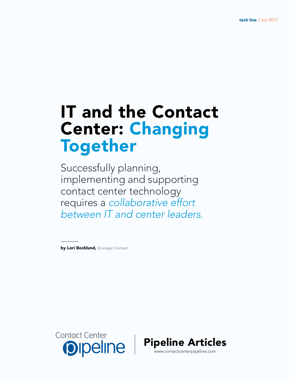# IT and the Contact **Center: Changing<br>Together**

Successfully planning, implementing and supporting contact center technology requires a *collaborative effort between IT and center leaders.*

by Lori Bocklund, Strategic Contact



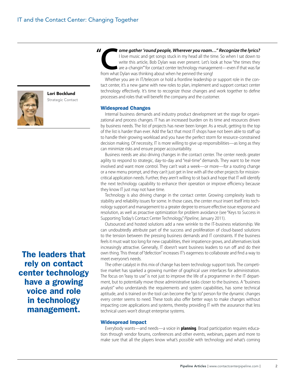

Lori Bocklund Strategic Contact

The leaders that rely on contact center technology have a growing voice and role in technology management.

I love music and get songs stuck in my head all the time. So when I sat down to write this article, Bob Dylan was ever present. Let's look at how "the times they are a-changin" for contact center technology management—even I love music and get songs stuck in my head all the time. So when I sat down to write this article, Bob Dylan was ever present. Let's look at how "the times they are a-changin'" for contact center technology management—even if that was far from what Dylan was thinking about when he penned the song!

Whether you are in IT/telecom or hold a frontline leadership or support role in the contact center, it's a new game with new roles to plan, implement and support contact center technology effectively. It's time to recognize those changes and work together to define processes and roles that will benefit the company and the customer.

### Widespread Changes

Internal business demands and industry product development set the stage for organizational and process changes. IT has an increased burden on its time and resources driven by business needs. The list of projects has never been longer. As a result, getting to the top of the list is harder than ever. Add the fact that most IT shops have not been able to staff up to handle their growing workload and you have the perfect storm for resource-constrained decision making. Of necessity, IT is more willing to give up responsibilities—as long as they can minimize risks and ensure proper accountability.

Business needs are also driving changes in the contact center. The center needs greater agility to respond to strategic, day-to-day and "real-time" demands. They want to be more involved and want more control. They can't wait a week—or more—for a routing change or a new menu prompt, and they can't just get in line with all the other projects for missioncritical application needs. Further, they aren't willing to sit back and hope that IT will identify the next technology capability to enhance their operation or improve efficiency because they know IT just may not have time.

Technology is also driving change in the contact center. Growing complexity leads to stability and reliability issues for some. In those cases, the center *must* insert itself into technology support and management to a greater degree to ensure effective issue response and resolution, as well as proactive optimization for problem avoidance (see "Keys to Success in Supporting Today's Contact Center Technology," *Pipeline*, January 2011).

Outsourced and hosted solutions add a new wrinkle to the IT-business relationship. We can undoubtedly attribute part of the success and proliferation of cloud-based solutions to the tension between the pressing business demands and IT constraints. If the business feels it must wait too long for new capabilities, their impatience grows, and alternatives look increasingly attractive. Generally, IT doesn't want business leaders to run off and do their own thing. This threat of "defection" increases IT's eagerness to collaborate and find a way to meet everyone's needs.

The other catalyst in this mix of change has been technology support tools. The competitive market has sparked a growing number of graphical user interfaces for administration. The focus on "easy to use" is not just to improve the life of a programmer in the IT department, but to potentially move those administrative tasks closer to the business. A "business analyst" who understands the requirements and system capabilities, has some technical aptitude, and is trained on the tool can become the "go to" person for the dynamic changes every center seems to need. These tools also offer better ways to make changes without impacting core applications and systems, thereby providing IT with the assurance that less technical users won't disrupt enterprise systems.

### Widespread Impact

Everybody wants—and needs—a voice in **planning**. Broad participation requires education through vendor forums, conferences and other events, webinars, papers and more to make sure that all the players know what's *possible* with technology and what's coming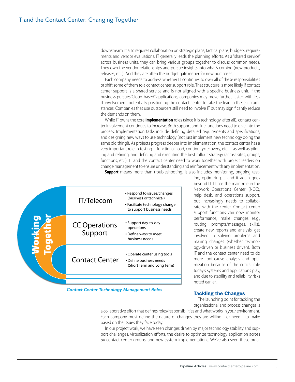downstream. It also requires collaboration on strategic plans, tactical plans, budgets, requirements and vendor evaluations. IT generally leads the planning efforts. As a "shared service" across business units, they can bring various groups together to discuss common needs. They own the vendor relationships and pursue insights into what's coming (new products, releases, etc.). And they are often the budget gatekeeper for new purchases.

Each company needs to address whether IT continues to own all of these responsibilities or shift some of them to a contact center support role. That structure is more likely if contact center support is a shared service and is not aligned with a specific business unit. If the business pursues "cloud-based" applications, companies may move further, faster, with less IT involvement, potentially positioning the contact center to take the lead in these circumstances. Companies that use outsourcers still need to involve IT but may significantly reduce the demands on them.

While IT owns the core **implementation** roles (since it is technology, after all), contact center involvement continues to increase. Both support and line functions need to dive into the process. Implementation tasks include defining detailed requirements and specifications, and designing new ways to use technology (not just implement new technology doing the same old thing!). As projects progress deeper into implementation, the contact center has a very important role in testing—functional, load, continuity/recovery, etc.—as well as piloting and refining, and defining and executing the best rollout strategy (across sites, groups, functions, etc.). IT and the contact center need to work together with project leaders on change management to ensure understanding and reinforcement with any implementation.



**Support** means more than troubleshooting. It also includes monitoring, ongoing test-

*Contact Center Technology Management Roles* 

ing, optimizing… and it again goes beyond IT. IT has the main role in the Network Operations Center (NOC), help desk, and operations support, but increasingly needs to collaborate with the center. Contact center support functions can now monitor performance, make changes (e.g., routing, prompts/messages, skills), create new reports and analysis, get involved in solving problems and making changes (whether technology-driven or business driven). Both IT and the contact center need to do more root-cause analysis and optimization because of the critical role today's systems and applications play, and due to stability and reliability risks noted earlier.

# Tackling the Changes

The launching point for tackling the organizational and process changes is

a collaborative effort that defines roles/responsibilities and what works in *your* environment. Each company must define the nature of changes they are willing—or need—to make based on the issues they face today.

In our project work, we have seen changes driven by major technology stability and support challenges, virtualization efforts, the desire to optimize technology application across *all* contact center groups, and new system implementations. We've also seen these orga-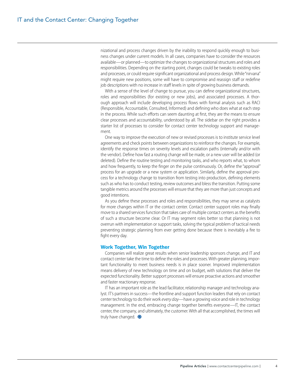nizational and process changes driven by the inability to respond quickly enough to business changes under current models. In all cases, companies have to consider the resources available—or planned—to optimize the changes to organizational structures and roles and responsibilities. Depending on the starting point, changes could be tweaks to existing roles and processes, or could require significant organizational and process design. While "nirvana" might require new positions, some will have to compromise and reassign staff or redefine job descriptions with no increase in staff levels in spite of growing business demands.

With a sense of the level of change to pursue, you can define organizational structures, roles and responsibilities (for existing or new jobs), and associated processes. A thorough approach will include developing process flows with formal analysis such as RACI (Responsible, Accountable, Consulted, Informed) and defining who does what at each step in the process. While such efforts can seem daunting at first, they are the means to ensure clear processes and accountability, understood by all. The sidebar on the right provides a starter list of processes to consider for contact center technology support and management.

One way to improve the execution of new or revised processes is to institute service level agreements and check points between organizations to reinforce the changes. For example, identify the response times on severity levels and escalation paths (internally and/or with the vendor). Define how fast a routing change will be made, or a new user will be added (or deleted). Define the routine testing and monitoring tasks, and who reports what, to whom and how frequently, to keep the finger on the pulse continuously. Or, define the "approval" process for an upgrade or a new system or application. Similarly, define the approval process for a technology change to transition from testing into production, defining elements such as who has to conduct testing, review outcomes and bless the transition. Putting some tangible metrics around the processes will ensure that they are more than just concepts and good intentions.

As you define these processes and roles and responsibilities, they may serve as catalysts for more changes within IT or the contact center. Contact center support roles may finally move to a shared services function that takes care of multiple contact centers as the benefits of such a structure become clear. Or IT may segment roles better so that planning is not overrun with implementation or support tasks, solving the typical problem of tactical needs preventing strategic planning from ever getting done because there is inevitably a fire to fight every day.

# Work Together, Win Together

Companies will realize great results when senior leadership sponsors change, and IT and contact center take the time to define the roles and processes. With greater planning, important functionality to meet business needs is in place sooner. Improved implementation means delivery of new technology on time and on budget, with solutions that deliver the expected functionality. Better support processes will ensure proactive actions and smoother and faster reactionary response.

IT has an important role as the lead facilitator, relationship manager and technology analyst. IT's partners in success—the frontline and support function leaders that rely on contact center technology to do their work *every day*—have a growing voice and role in technology management. In the end, embracing change together benefits everyone—IT, the contact center, the company, and ultimately, the customer. With all that accomplished, the times will truly have changed.  $\bullet$